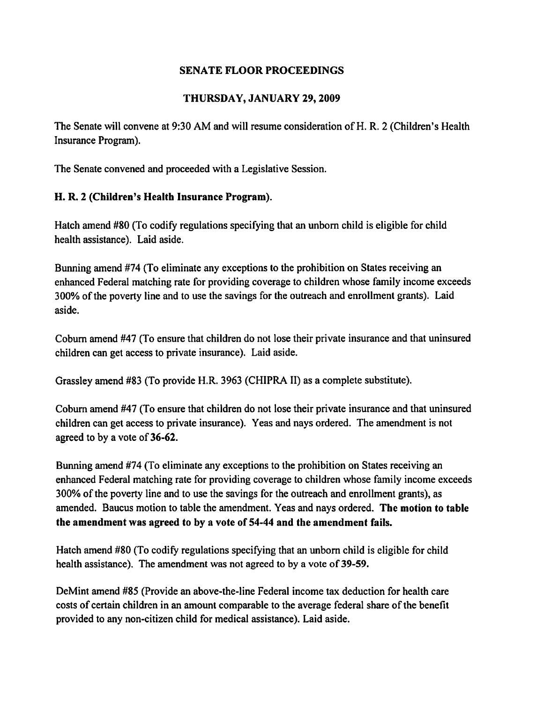# THURSDAY, JANUARY 29,2009

The Senate will convene at 9:30 AM and will resume consideration of H. R. 2 (Children's Health Insurance Program).

The Senate convened and proceeded with a Legislative Session.

# H. R. 2 (Children's Health Insurance Program).

Hatch amend #80 (To codify regulations specifying that an unborn child is eligible for child health assistance). Laid aside.

Bunning amend #74 (To eliminate any exceptions to the prohibition on States receiving an enhanced Federal matching rate for providing coverage to children whose family income exceeds 300% of the poverty line and to use the savings for the outreach and enrollment grants). Laid aside.

Cobum amend #47 (To ensure that children do not lose their private insurance and that uninsured children can get access to private insurance). Laid aside.

Grassley amend #83 (To provide H.R. 3963 (CHIPRAII) as a complete substitute).

Coburn amend #47 (To ensure that children do not lose their private insurance and that uninsured children can get access to private insurance). Yeas and nays ordered. The amendment is not agreed to by a vote of 36-62.

Bunning amend #74 (To eliminate any exceptions to the prohibition on States receiving an enhanced Federal matching rate for providing coverage to children whose family income exceeds 300% of the poverty line and to use the savings for the outreach and enrollment grants), as amended. Baucus motion to table the amendment. Yeas and nays ordered. The motion to table the amendment was agreed to by a vote of 54-44 and the amendment fails.

Hatch amend #80 (To codify regulations specifying that an unborn child is eligible for child health assistance). The amendment was not agreed to by a vote of 39-59.

DeMint amend #85 (Provide an above-the-line Federal income tax deduction for health care costs of certain children in an amount comparable to the average federal share of the benefit provided to any non-citizen child for medical assistance). Laid aside.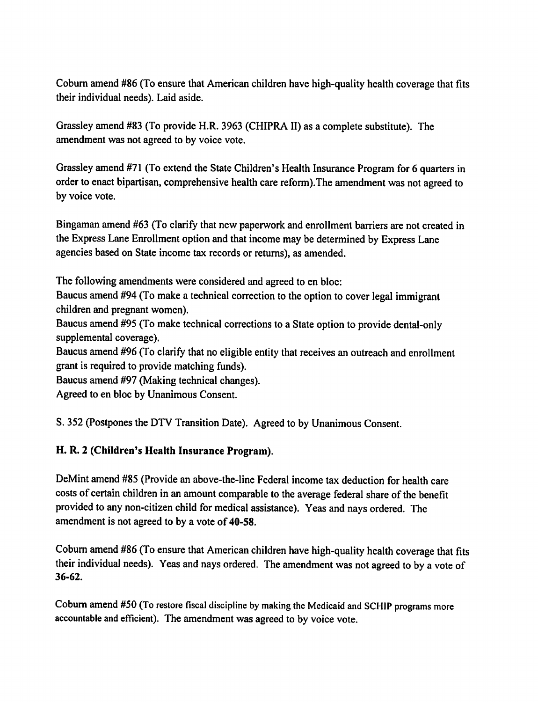Coburn amend #86 (To ensure that American children have high-quality health coverage that fits their individual needs). Laid aside.

Grassley amend #83 (To provide H.R. 3963 (CHIPRA II) as a complete substitute). The amendment was not agreed to by voice vote.

Grassley amend #71 (To extend the State Children's Health Insurance Program for 6 quarters in order to enact bipartisan, comprehensive health care reform). The amendment was not agreed to by voice vote.

Bingaman amend #63 (To clarify that new paperwork and enrollment barriers are not created in the Express Lane Enrollment option and that income may be determined by Express Lane agencies based on State income tax records or returns), as amended.

The following amendments were considered and agreed to en bloc:

Baucus amend #94 (To make a technical correction to the option to cover legal immigrant children and pregnant women).

Baucus amend #95 (To make technical corrections to a State option to provide dental-only supplemental coverage).

Baucus amend #96 (To clarify that no eligible entity that receives an outreach and enrollment grant is required to provide matching funds).

Baucus amend #97 (Making technical changes).

Agreed to en bloc by Unanimous Consent.

S. 352 (Postpones the DTV Transition Date). Agreed to by Unanimous Consent.

# H. R. 2 (Children's Health Insurance Program).

DeMint amend #85 (Provide an above-the-line Federal income tax deduction for health care costs of certain children in an amount comparable to the average federal share of the benefit provided to any non-citizen child for medical assistance). Yeas and nays ordered. The amendment is not agreed to by a vote of 40-58.

Coburn amend #86 (To ensure that American children have high-quality health coverage that fits their individual needs). Yeas and nays ordered. The amendment was not agreed to by a vote of  $36 - 62$ .

Coburn amend #50 (To restore fiscal discipline by making the Medicaid and SCHIP programs more accountable and efficient). The amendment was agreed to by voice vote.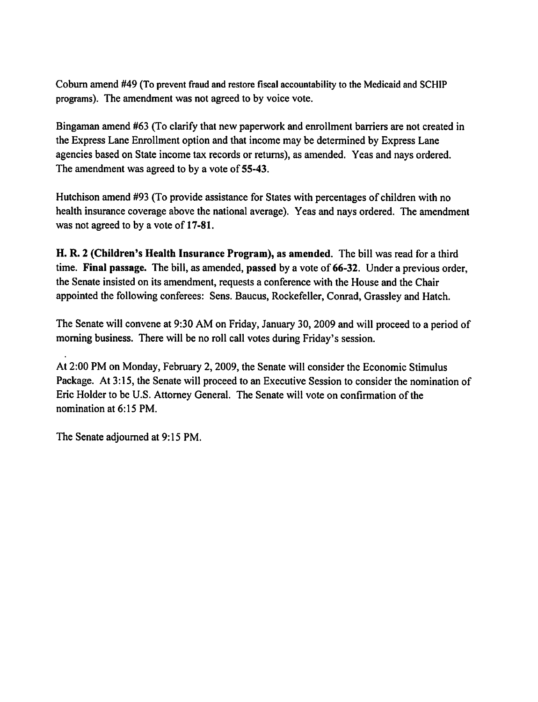Coburn amend #49 (To prevent fraud and restore fiscal accountability to the Medicaid and SCHIP programs). The amendment was not agreed to by voice vote.

Bingaman amend #63 (To clarify that new paperwork and enrollment barriers are not created in the Express Lane Enrollment option and that income may be determined by Express Lane agencies based on State income tax records or returns), as amended. Yeas and nays ordered. The amendment was agreed to by a vote of 55-43.

Hutchison amend #93 (To provide assistance for States with percentages of children with no health insurance coverage above the national average). Yeas and nays ordered. The amendment was not agreed to by a vote of 17-81.

H. R. 2 (Children's Health Insurance Program), as amended. The bill was read for a third time. Final passage. The bill, as amended, passed by a vote of 66-32. Under a previous order, the Senate insisted on its amendment, requests a conference with the House and the Chair appointed the following conferees: Sens. Baucus, Rockefeller, Conrad, Grassley and Hatch.

The Senate will convene at 9:30 AM on Friday, January 30, 2009 and will proceed to a period of morning business. There will be no roll call votes during Friday's session.

At 2:00 PM on Monday, February 2, 2009, the Senate will consider the Economic Stimulus Package. At 3:15, the Senate will proceed to an Executive Session to consider the nomination of Eric Holder to be U.S. Attorney General. The Senate will vote on confirmation of the nomination at 6:15 PM.

The Senate adjourned at 9:15 PM.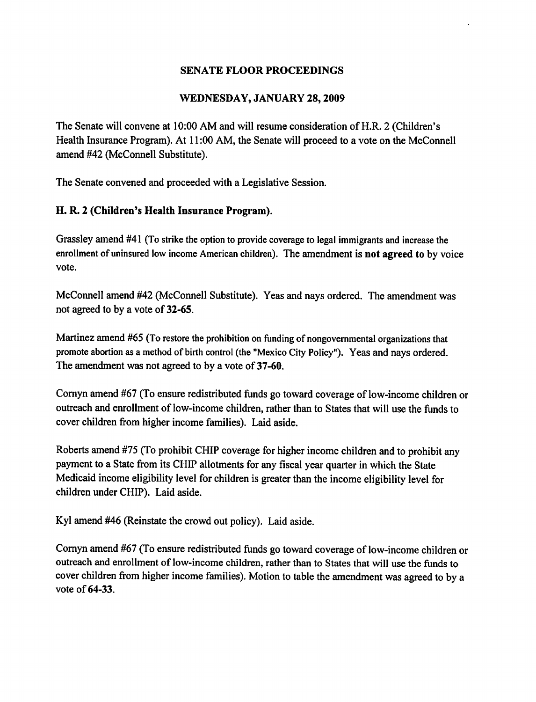# WEDNESDAY, JANUARY 28, 2009

The Senate will convene at 10:00 AM and will resume consideration of H.R. 2 (Children's Health Insurance Program). At 11:00 AM, the Senate will proceed to a vote on the McConnell amend #42 (McConnell Substitute).

The Senate convened and proceeded with a Legislative Session.

# H. R. 2 (Children's Health Insurance Program).

Grassley amend #41 (To strike the option to provide coverage to legal immigrants and increase the enrollment of uninsured low income American children). The amendment is not agreed to by voice vote.

McConnell amend #42 (McConnell Substitute). Yeas and nays ordered. The amendment was not agreed to by a vote of 32-65.

Martinez amend #65 (To restore the prohibition on funding of nongovernmental organizations that promote abortion as a method of birth control (the "Mexico City Policy"). Yeas and nays ordered. The amendment was not agreed to by a vote of 37-60.

Cornyn amend #67 (To ensure redistributed funds go toward coverage of low-income children or outreach and enrollment of low-income children, rather than to States that will use the funds to cover children from higher income families). Laid aside.

Roberts amend #75 (To prohibit CHIP coverage for higher income children and to prohibit any payment to a State from its CHIP allotments for any fiscal year quarter in which the State Medicaid income eligibility level for children is greater than the income eligibility level for children under CHIP). Laid aside.

Kyl amend #46 (Reinstate the crowd out policy). Laid aside.

Cornyn amend #67 (To ensure redistributed funds go toward coverage of low-income children or outreach and enrollment of low-income children, rather than to States that will use the funds to cover children from higher income families). Motion to table the amendment was agreed to by a vote of 64-33.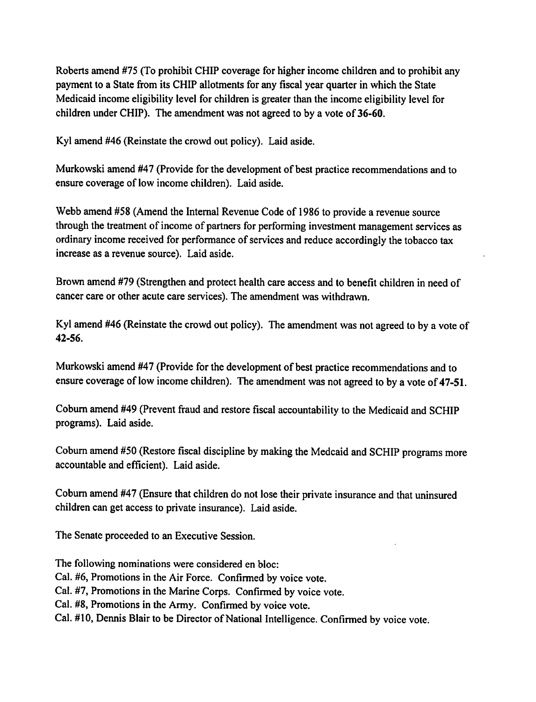Roberts amend #75 (To prohibit CHIP coverage for higher income children and to prohibit any payment to a State from its CHIP allotments for any fiscal year quarter in which the State Medicaid income eligibility level for children is greater than the income eligibility level for children under CHIP). The amendment was not agreed to by a vote of 36-60.

Kyl amend #46 (Reinstate the crowd out policy). Laid aside.

Murkowski amend #47 (Provide for the development of best practice recommendations and to ensure coverage of low income children). Laid aside.

Webb amend #58 (Amend the Internal Revenue Code of 1986 to provide a revenue source through the treatment of income of partners for performing investment management services as ordinary income received for performance of services and reduce accordingly the tobacco tax increase as a revenue source). Laid aside.

Brown amend #79 (Strengthen and protect health care access and to benefit children in need of cancer care or other acute care services). The amendment was withdrawn.

Kyl amend #46 (Reinstate the crowd out policy). The amendment was not agreed to by a vote of  $42 - 56.$ 

Murkowski amend #47 (Provide for the development of best practice recommendations and to ensure coverage of low income children). The amendment was not agreed to by a vote of 47-51.

Coburn amend #49 (Prevent fraud and restore fiscal accountability to the Medicaid and SCHIP programs). Laid aside.

Coburn amend #50 (Restore fiscal discipline by making the Medcaid and SCHIP programs more accountable and efficient). Laid aside.

Coburn amend #47 (Ensure that children do not lose their private insurance and that uninsured children can get access to private insurance). Laid aside.

The Senate proceeded to an Executive Session.

The following nominations were considered en bloc: Cal. #6, Promotions in the Air Force. Confirmed by voice vote. Cal. #7, Promotions in the Marine Corps. Confirmed by voice vote. Cal. #8, Promotions in the Army. Confirmed by voice vote. Cal. #10, Dennis Blair to be Director of National Intelligence. Confirmed by voice vote.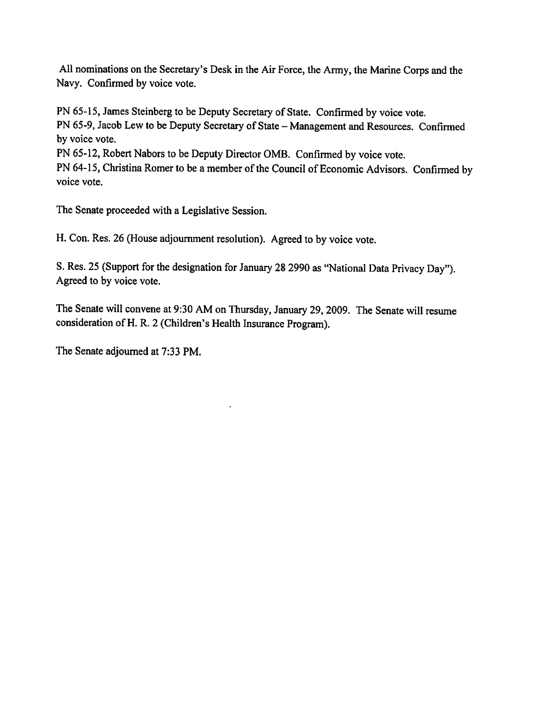All nominations on the Secretary's Desk in the Air Force, the Army, the Marine Corps and the Navy. Confirmed by voice vote.

PN 65-15, James Steinberg to be Deputy Secretary of State. Confirmed by voice vote. PN 65-9, Jacob Lew to be Deputy Secretary of State - Management and Resources. Confirmed by voice vote.

PN 65-12, Robert Nabors to be Deputy Director OMB. Confirmed by voice vote.

PN 64-15, Christina Romer to be a member of the Council of Economic Advisors. Confirmed by voice vote.

The Senate proceeded with a Legislative Session.

H. Con. Res. 26 (House adjournment resolution). Agreed to by voice vote.

S. Res. 25 (Support for the designation for January 28 2990 as "National Data Privacy Day"). Agreed to by voice vote.

The Senate will convene at 9:30 AM on Thursday, January 29, 2009. The Senate will resume consideration of H. R. 2 (Children's Health Insurance Program).

The Senate adjourned at 7:33 PM.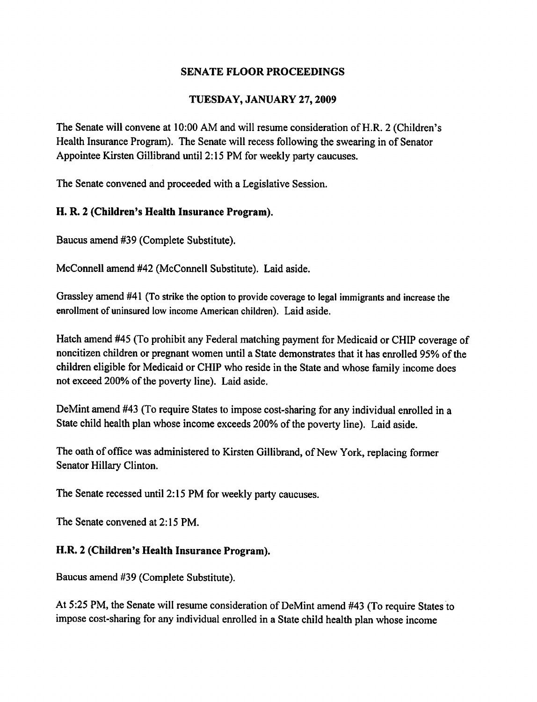# TUESDAY, JANUARY 27, 2009

The Senate will convene at 10:00 AM and will resume consideration of H.R. 2 (Children's Health Insurance Program). The Senate will recess following the swearing in of Senator Appointee Kirsten Gillibrand until 2:15 PM for weekly party caucuses.

The Senate convened and proceeded with a Legislative Session.

# H. R. 2 (Children's Health Insurance Program).

Baucus amend #39 (Complete Substitute).

McConnell amend #42 (McConnell Substitute). Laid aside.

Grassley amend #41 (To strike the option to provide coverage to legal immigrants and increase the enrollment of uninsured low income American children). Laid aside.

Hatch amend #45 (To prohibit any Federal matching payment for Medicaid or CHIP coverage of noncitizen children or pregnant women until a State demonstrates that it has enrolled 95% of the children eligible for Medicaid or CHIP who reside in the State and whose family income does not exceed 200% of the poverty line). Laid aside.

DeMint amend #43 (To require States to impose cost-sharing for any individual enrolled in a State child health plan whose income exceeds 200% of the poverty line). Laid aside.

The oath of office was administered to Kirsten Gillibrand, of New York, replacing former Senator Hillary Clinton.

The Senate recessed until 2:15 PM for weekly party caucuses.

The Senate convened at 2:15 PM.

## H.R. 2 (Children's Health Insurance Program).

Baucus amend #39 (Complete Substitute).

At 5:25 PM, the Senate will resume consideration of DeMint amend #43 (To require States to impose cost-sharing for any individual enrolled in a State child health plan whose income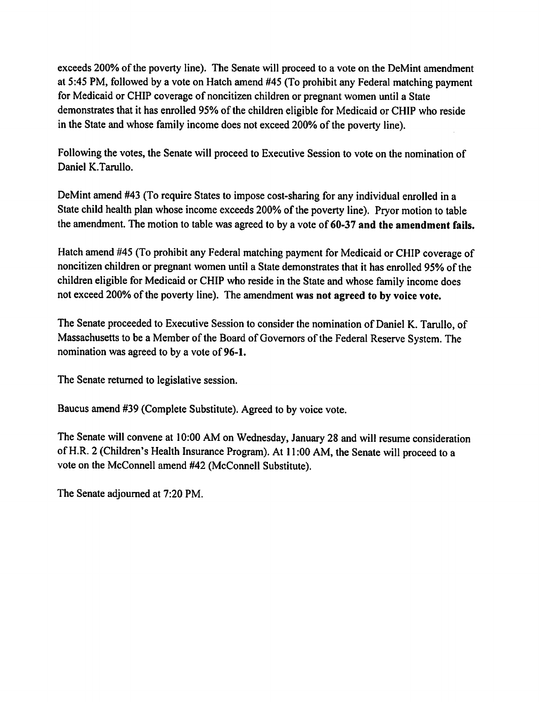exceeds 200% of the poverty line). The Senate will proceed to a vote on the DeMint amendment at 5:45 PM, followed by a vote on Hatch amend #45 (To prohibit any Federal matching payment for Medicaid or CHIP coverage of noncitizen children or pregnant women until a State demonstrates that it has enrolled 95% of the children eligible for Medicaid or CHIP who reside in the State and whose family income does not exceed 200% of the poverty line).

Following the votes, the Senate will proceed to Executive Session to vote on the nomination of Daniel K.Tarullo.

DeMint amend #43 (To require States to impose cost-sharing for any individual enrolled in a State child health plan whose income exceeds 200% of the poverty line). Prvor motion to table the amendment. The motion to table was agreed to by a vote of 60-37 and the amendment fails.

Hatch amend #45 (To prohibit any Federal matching payment for Medicaid or CHIP coverage of noncitizen children or pregnant women until a State demonstrates that it has enrolled 95% of the children eligible for Medicaid or CHIP who reside in the State and whose family income does not exceed 200% of the poverty line). The amendment was not agreed to by voice vote.

The Senate proceeded to Executive Session to consider the nomination of Daniel K. Tarullo, of Massachusetts to be a Member of the Board of Governors of the Federal Reserve System. The nomination was agreed to by a vote of 96-1.

The Senate returned to legislative session.

Baucus amend #39 (Complete Substitute). Agreed to by voice vote.

The Senate will convene at 10:00 AM on Wednesday, January 28 and will resume consideration of H.R. 2 (Children's Health Insurance Program). At 11:00 AM, the Senate will proceed to a vote on the McConnell amend #42 (McConnell Substitute).

The Senate adjourned at 7:20 PM.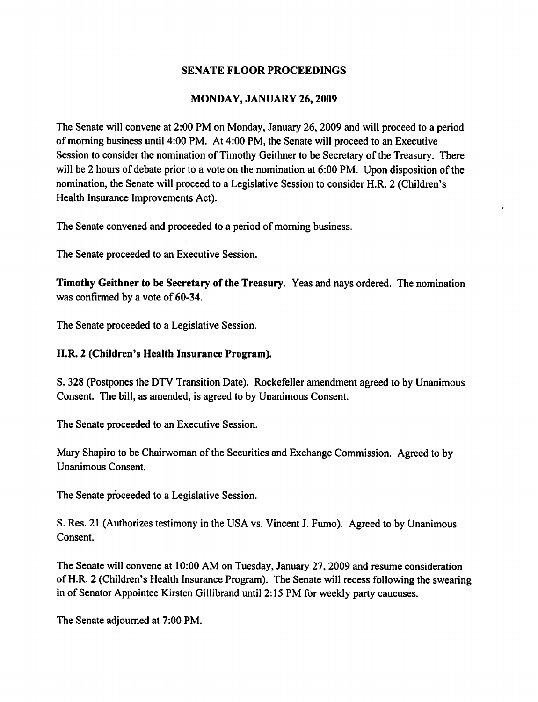## MONDAY, JANUARY 26, 2009

The Senate will convene at 2:00 PM on Monday, January 26, 2009 and will proceed to a period of morning business until 4:00 PM. At 4:00 PM, the Senate will proceed to an Executive Session to consider the nomination of Timothy Geithner to be Secretary of the Treasury. There will be 2 hours of debate prior to a vote on the nomination at 6:00 PM. Upon disposition of the nomination, the Senate will proceed to a Legislative Session to consider H.R. 2 (Children's Health Insurance Improvements Act).

The Senate convened and proceeded to a period of morning business.

The Senate proceeded to an Executive Session.

Timothy Geithner to be Secretary of the Treasury. Yeas and nays ordered. The nomination was confirmed by a vote of 60-34.

The Senate proceeded to a Legislative Session.

# H.R. 2 (Children's Health Insurance Program).

S. 328 (Postpones the DTV Transition Date). Rockefeller amendment agreed to by Unanimous Consent. The bill, as amended, is agreed to by Unanimous Consent.

The Senate proceeded to an Executive Session.

Mary Shapiro to be Chairwoman of the Securities and Exchange Commission. Agreed to by **Unanimous Consent.** 

The Senate proceeded to a Legislative Session.

S. Res. 21 (Authorizes testimony in the USA vs. Vincent J. Fumo). Agreed to by Unanimous Consent.

The Senate will convene at 10:00 AM on Tuesday, January 27, 2009 and resume consideration of H.R. 2 (Children's Health Insurance Program). The Senate will recess following the swearing in of Senator Appointee Kirsten Gillibrand until 2:15 PM for weekly party caucuses.

The Senate adiourned at 7:00 PM.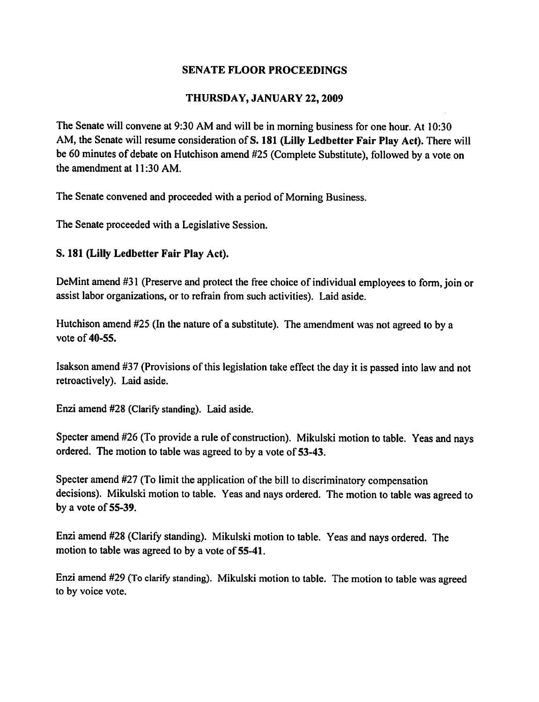### THURSDAY, JANUARY 22, 2009

The Senate will convene at 9:30 AM and will be in morning business for one hour. At 10:30 AM, the Senate will resume consideration of S. 181 (Lilly Ledbetter Fair Play Act). There will be 60 minutes of debate on Hutchison amend #25 (Complete Substitute), followed by a vote on the amendment at 11:30 AM.

The Senate convened and proceeded with a period of Morning Business.

The Senate proceeded with a Legislative Session.

### S. 181 (Lilly Ledbetter Fair Play Act).

DeMint amend #31 (Preserve and protect the free choice of individual employees to form, join or assist labor organizations, or to refrain from such activities). Laid aside.

Hutchison amend #25 (In the nature of a substitute). The amendment was not agreed to by a vote of 40-55.

Isakson amend #37 (Provisions of this legislation take effect the day it is passed into law and not retroactively). Laid aside.

Enzi amend #28 (Clarify standing). Laid aside.

Specter amend #26 (To provide a rule of construction). Mikulski motion to table. Yeas and nays ordered. The motion to table was agreed to by a vote of 53-43.

Specter amend #27 (To limit the application of the bill to discriminatory compensation decisions). Mikulski motion to table. Yeas and nays ordered. The motion to table was agreed to by a vote of 55-39.

Enzi amend #28 (Clarify standing). Mikulski motion to table. Yeas and nays ordered. The motion to table was agreed to by a vote of 55-41.

Enzi amend #29 (To clarify standing). Mikulski motion to table. The motion to table was agreed to by voice vote.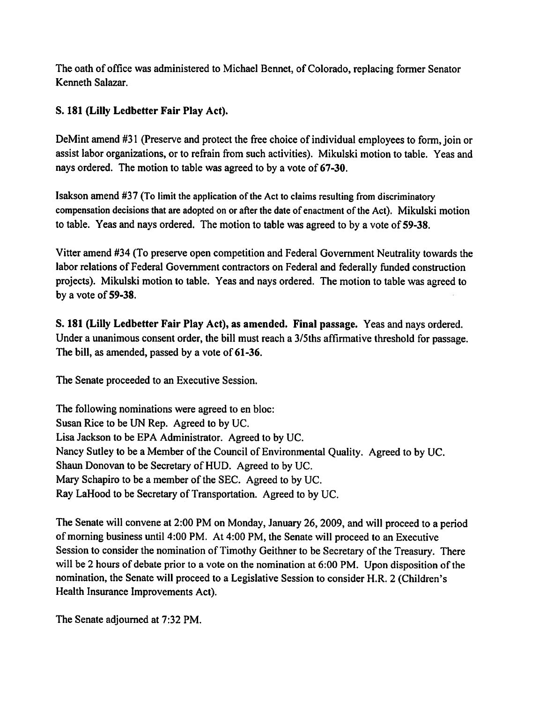The oath of office was administered to Michael Bennet, of Colorado, replacing former Senator Kenneth Salazar.

# S. 181 (Lilly Ledbetter Fair Play Act).

DeMint amend #31 (Preserve and protect the free choice of individual employees to form, join or assist labor organizations, or to refrain from such activities). Mikulski motion to table. Yeas and nays ordered. The motion to table was agreed to by a vote of 67-30.

Isakson amend #37 (To limit the application of the Act to claims resulting from discriminatory compensation decisions that are adopted on or after the date of enactment of the Act). Mikulski motion to table. Yeas and nays ordered. The motion to table was agreed to by a vote of 59-38.

Vitter amend #34 (To preserve open competition and Federal Government Neutrality towards the labor relations of Federal Government contractors on Federal and federally funded construction projects). Mikulski motion to table. Yeas and nays ordered. The motion to table was agreed to by a vote of  $59-38$ .

S. 181 (Lilly Ledbetter Fair Play Act), as amended. Final passage. Yeas and nays ordered. Under a unanimous consent order, the bill must reach a 3/5ths affirmative threshold for passage. The bill, as amended, passed by a vote of 61-36.

The Senate proceeded to an Executive Session.

The following nominations were agreed to en bloc: Susan Rice to be UN Rep. Agreed to by UC. Lisa Jackson to be EPA Administrator. Agreed to by UC. Nancy Sutley to be a Member of the Council of Environmental Quality. Agreed to by UC. Shaun Donovan to be Secretary of HUD. Agreed to by UC. Mary Schapiro to be a member of the SEC. Agreed to by UC. Ray LaHood to be Secretary of Transportation. Agreed to by UC.

The Senate will convene at 2:00 PM on Monday, January 26, 2009, and will proceed to a period of morning business until 4:00 PM. At 4:00 PM, the Senate will proceed to an Executive Session to consider the nomination of Timothy Geithner to be Secretary of the Treasury. There will be 2 hours of debate prior to a vote on the nomination at 6:00 PM. Upon disposition of the nomination, the Senate will proceed to a Legislative Session to consider H.R. 2 (Children's Health Insurance Improvements Act).

The Senate adjourned at 7:32 PM.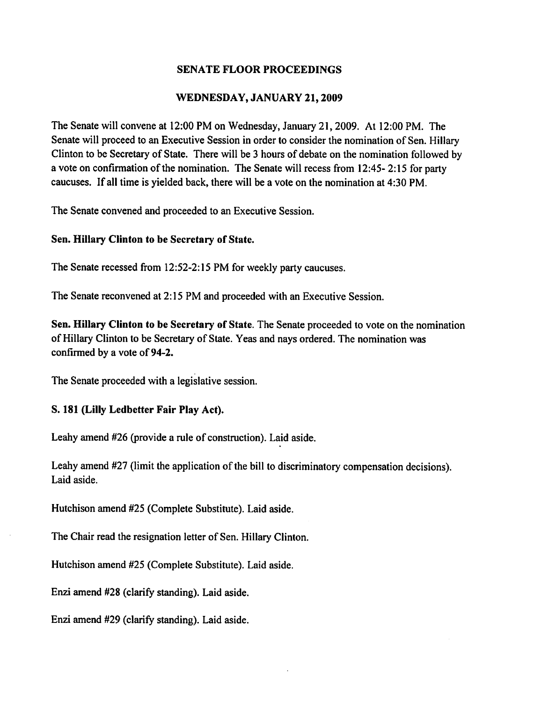## WEDNESDAY, JANUARY 21, 2009

The Senate will convene at 12:00 PM on Wednesday, January 21, 2009. At 12:00 PM. The Senate will proceed to an Executive Session in order to consider the nomination of Sen. Hillary Clinton to be Secretary of State. There will be 3 hours of debate on the nomination followed by a vote on confirmation of the nomination. The Senate will recess from 12:45-2:15 for party caucuses. If all time is yielded back, there will be a vote on the nomination at 4:30 PM.

The Senate convened and proceeded to an Executive Session.

### Sen. Hillary Clinton to be Secretary of State.

The Senate recessed from 12:52-2:15 PM for weekly party caucuses.

The Senate reconvened at 2:15 PM and proceeded with an Executive Session.

Sen. Hillary Clinton to be Secretary of State. The Senate proceeded to vote on the nomination of Hillary Clinton to be Secretary of State. Yeas and nays ordered. The nomination was confirmed by a vote of 94-2.

The Senate proceeded with a legislative session.

## S. 181 (Lilly Ledbetter Fair Play Act).

Leahy amend #26 (provide a rule of construction). Laid aside.

Leahy amend #27 (limit the application of the bill to discriminatory compensation decisions). Laid aside.

Hutchison amend #25 (Complete Substitute). Laid aside.

The Chair read the resignation letter of Sen. Hillary Clinton.

Hutchison amend #25 (Complete Substitute). Laid aside.

Enzi amend #28 (clarify standing). Laid aside.

Enzi amend #29 (clarify standing). Laid aside.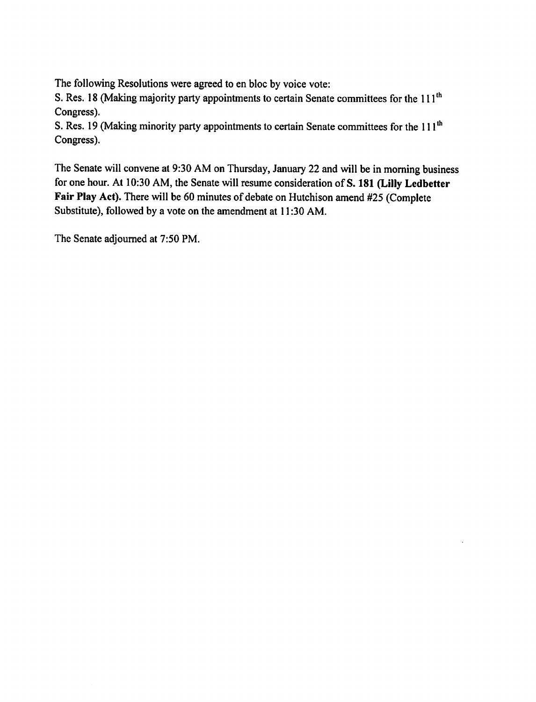The following Resolutions were agreed to en bloc by voice vote:

S. Res. 18 (Making majority party appointments to certain Senate committees for the 111<sup>th</sup> Congress).

S. Res. 19 (Making minority party appointments to certain Senate committees for the 111<sup>th</sup> Congress).

The Senate will convene at 9:30 AM on Thursday, January 22 and will be in morning business for one hour. At 10:30 AM, the Senate will resume consideration of S. 181 (Lilly Ledbetter Fair Play Act). There will be 60 minutes of debate on Hutchison amend #25 (Complete Substitute), followed by a vote on the amendment at 11:30 AM.

The Senate adjourned at 7:50 PM.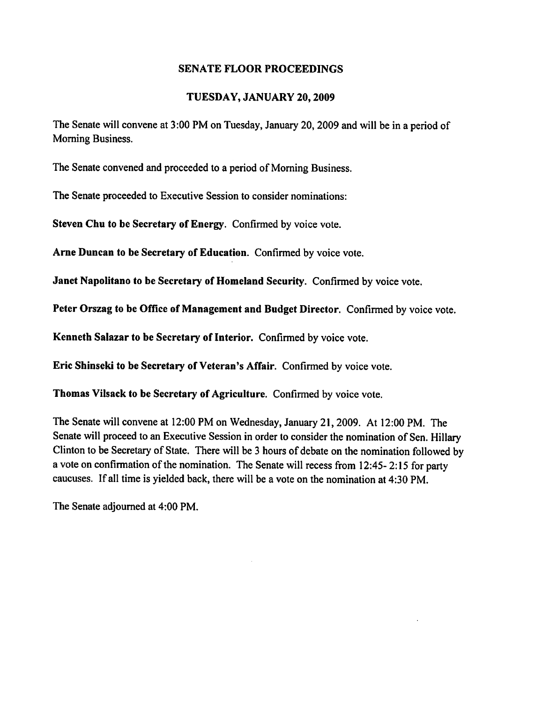#### TUESDAY, JANUARY 20, 2009

The Senate will convene at 3:00 PM on Tuesday, January 20, 2009 and will be in a period of Morning Business.

The Senate convened and proceeded to a period of Morning Business.

The Senate proceeded to Executive Session to consider nominations:

Steven Chu to be Secretary of Energy. Confirmed by voice vote.

Arne Duncan to be Secretary of Education. Confirmed by voice vote.

Janet Napolitano to be Secretary of Homeland Security. Confirmed by voice vote.

Peter Orszag to be Office of Management and Budget Director. Confirmed by voice vote.

Kenneth Salazar to be Secretary of Interior. Confirmed by voice vote.

Eric Shinseki to be Secretary of Veteran's Affair. Confirmed by voice vote.

Thomas Vilsack to be Secretary of Agriculture. Confirmed by voice vote.

The Senate will convene at 12:00 PM on Wednesday, January 21, 2009. At 12:00 PM. The Senate will proceed to an Executive Session in order to consider the nomination of Sen. Hillary Clinton to be Secretary of State. There will be 3 hours of debate on the nomination followed by a vote on confirmation of the nomination. The Senate will recess from 12:45-2:15 for party caucuses. If all time is yielded back, there will be a vote on the nomination at 4:30 PM.

The Senate adjourned at 4:00 PM.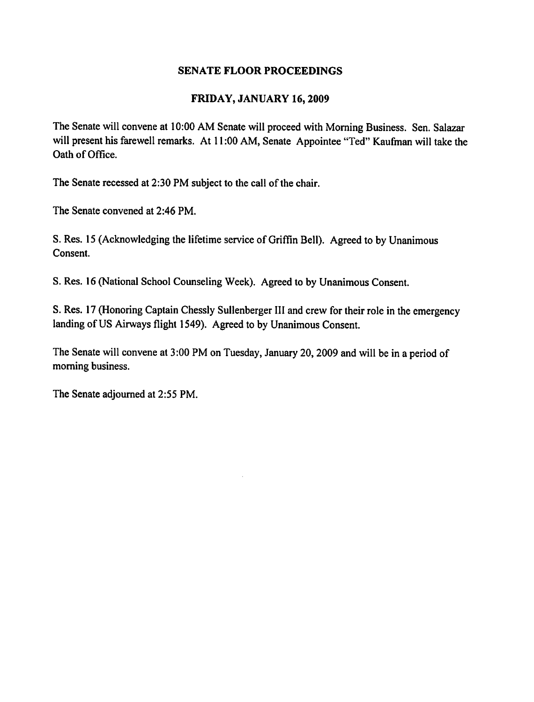## FRIDAY, JANUARY 16, 2009

The Senate will convene at 10:00 AM Senate will proceed with Morning Business. Sen. Salazar will present his farewell remarks. At 11:00 AM, Senate Appointee "Ted" Kaufman will take the Oath of Office.

The Senate recessed at 2:30 PM subject to the call of the chair.

The Senate convened at 2:46 PM.

S. Res. 15 (Acknowledging the lifetime service of Griffin Bell). Agreed to by Unanimous Consent.

S. Res. 16 (National School Counseling Week). Agreed to by Unanimous Consent.

S. Res. 17 (Honoring Captain Chessly Sullenberger III and crew for their role in the emergency landing of US Airways flight 1549). Agreed to by Unanimous Consent.

The Senate will convene at 3:00 PM on Tuesday, January 20, 2009 and will be in a period of morning business.

The Senate adjourned at 2:55 PM.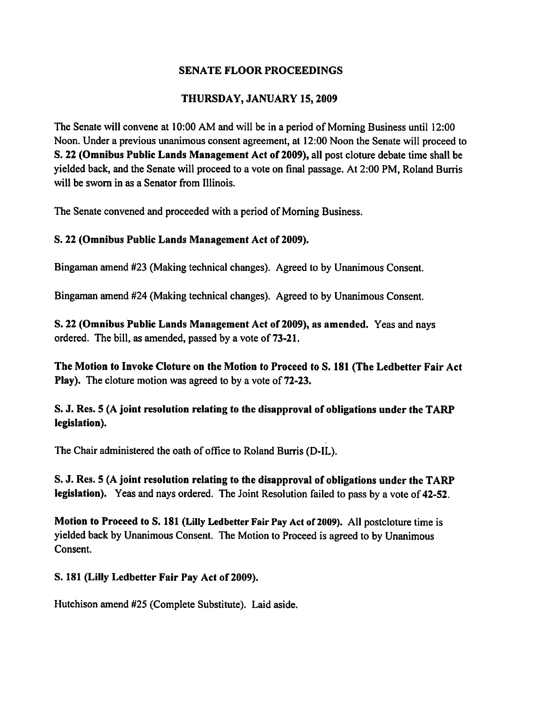# THURSDAY, JANUARY 15, 2009

The Senate will convene at 10:00 AM and will be in a period of Morning Business until 12:00 Noon. Under a previous unanimous consent agreement, at 12:00 Noon the Senate will proceed to S. 22 (Omnibus Public Lands Management Act of 2009), all post cloture debate time shall be yielded back, and the Senate will proceed to a vote on final passage. At 2:00 PM, Roland Burris will be sworn in as a Senator from Illinois.

The Senate convened and proceeded with a period of Morning Business.

# S. 22 (Omnibus Public Lands Management Act of 2009).

Bingaman amend #23 (Making technical changes). Agreed to by Unanimous Consent.

Bingaman amend #24 (Making technical changes). Agreed to by Unanimous Consent.

S. 22 (Omnibus Public Lands Management Act of 2009), as amended. Yeas and nays ordered. The bill, as amended, passed by a vote of 73-21.

The Motion to Invoke Cloture on the Motion to Proceed to S. 181 (The Ledbetter Fair Act **Play).** The cloture motion was agreed to by a vote of 72-23.

S. J. Res. 5 (A joint resolution relating to the disapproval of obligations under the TARP legislation).

The Chair administered the oath of office to Roland Burris (D-IL).

S. J. Res. 5 (A joint resolution relating to the disapproval of obligations under the TARP legislation). Yeas and nays ordered. The Joint Resolution failed to pass by a vote of 42-52.

Motion to Proceed to S. 181 (Lilly Ledbetter Fair Pay Act of 2009). All postcloture time is yielded back by Unanimous Consent. The Motion to Proceed is agreed to by Unanimous Consent.

S. 181 (Lilly Ledbetter Fair Pay Act of 2009).

Hutchison amend #25 (Complete Substitute). Laid aside.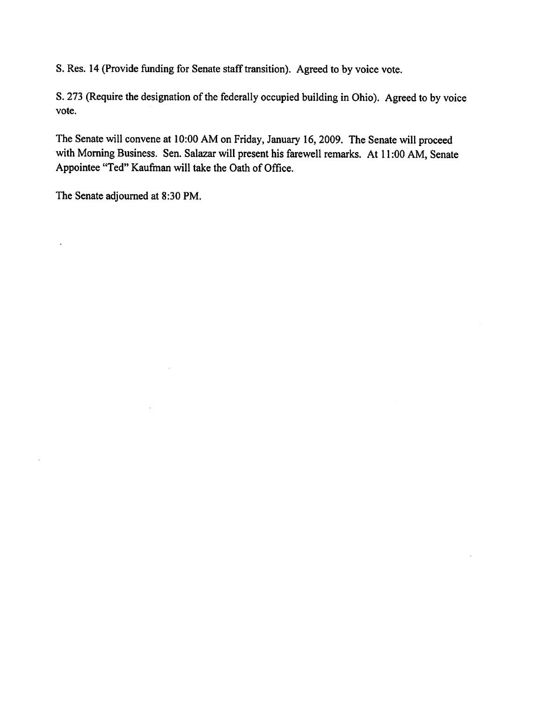S. Res. 14 (Provide funding for Senate staff transition). Agreed to by voice vote.

S. 273 (Require the designation of the federally occupied building in Ohio). Agreed to by voice vote.

The Senate will convene at 10:00 AM on Friday, January 16, 2009. The Senate will proceed with Morning Business. Sen. Salazar will present his farewell remarks. At 11:00 AM, Senate Appointee "Ted" Kaufman will take the Oath of Office.

The Senate adjourned at 8:30 PM.

 $\ddot{\phantom{0}}$ 

 $\overline{\phantom{a}}$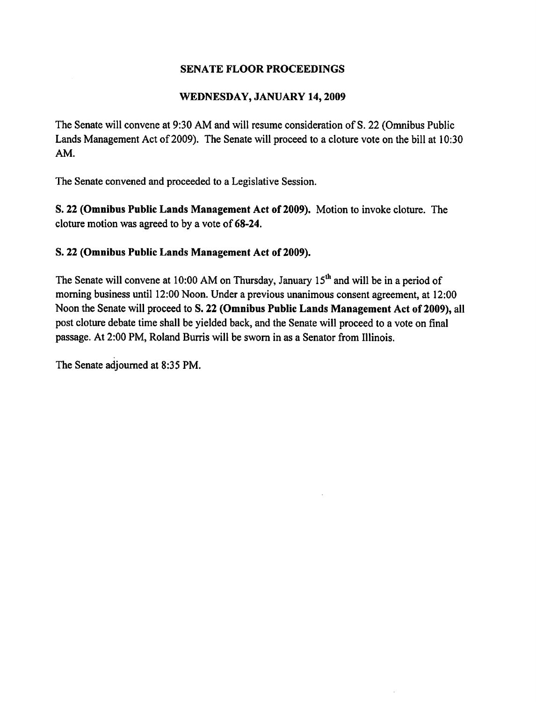## WEDNESDAY, JANUARY 14, 2009

The Senate will convene at 9:30 AM and will resume consideration of S. 22 (Omnibus Public Lands Management Act of 2009). The Senate will proceed to a cloture vote on the bill at 10:30 AM.

The Senate convened and proceeded to a Legislative Session.

S. 22 (Omnibus Public Lands Management Act of 2009). Motion to invoke cloture. The cloture motion was agreed to by a vote of 68-24.

## S. 22 (Omnibus Public Lands Management Act of 2009).

The Senate will convene at 10:00 AM on Thursday, January  $15<sup>th</sup>$  and will be in a period of morning business until 12:00 Noon. Under a previous unanimous consent agreement, at 12:00 Noon the Senate will proceed to S. 22 (Omnibus Public Lands Management Act of 2009), all post cloture debate time shall be yielded back, and the Senate will proceed to a vote on final passage. At 2:00 PM, Roland Burris will be sworn in as a Senator from Illinois.

The Senate adjourned at 8:35 PM.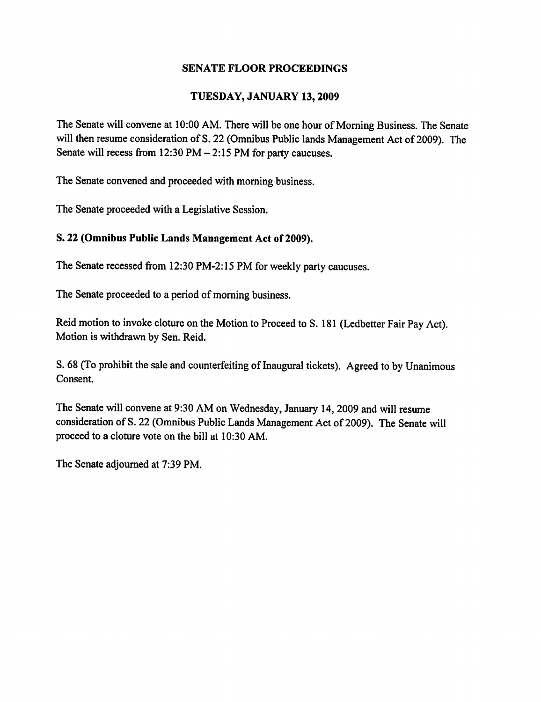#### TUESDAY, JANUARY 13, 2009

The Senate will convene at 10:00 AM. There will be one hour of Morning Business. The Senate will then resume consideration of S. 22 (Omnibus Public lands Management Act of 2009). The Senate will recess from  $12:30$  PM  $- 2:15$  PM for party caucuses.

The Senate convened and proceeded with morning business.

The Senate proceeded with a Legislative Session.

#### S. 22 (Omnibus Public Lands Management Act of 2009).

The Senate recessed from 12:30 PM-2:15 PM for weekly party caucuses.

The Senate proceeded to a period of morning business.

Reid motion to invoke cloture on the Motion to Proceed to S. 181 (Ledbetter Fair Pay Act). Motion is withdrawn by Sen. Reid.

S. 68 (To prohibit the sale and counterfeiting of Inaugural tickets). Agreed to by Unanimous Consent.

The Senate will convene at 9:30 AM on Wednesday, January 14, 2009 and will resume consideration of S. 22 (Omnibus Public Lands Management Act of 2009). The Senate will proceed to a cloture vote on the bill at 10:30 AM.

The Senate adjourned at 7:39 PM.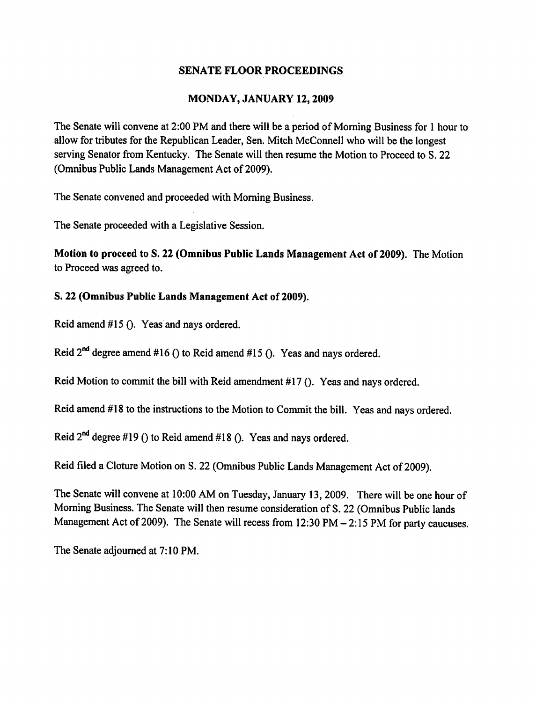## MONDAY, JANUARY 12, 2009

The Senate will convene at 2:00 PM and there will be a period of Morning Business for 1 hour to allow for tributes for the Republican Leader, Sen. Mitch McConnell who will be the longest serving Senator from Kentucky. The Senate will then resume the Motion to Proceed to S. 22 (Omnibus Public Lands Management Act of 2009).

The Senate convened and proceeded with Morning Business.

The Senate proceeded with a Legislative Session.

Motion to proceed to S. 22 (Omnibus Public Lands Management Act of 2009). The Motion to Proceed was agreed to.

## S. 22 (Omnibus Public Lands Management Act of 2009).

Reid amend #15 (). Yeas and nays ordered.

Reid  $2^{nd}$  degree amend #16 () to Reid amend #15 (). Yeas and nays ordered.

Reid Motion to commit the bill with Reid amendment #17 (). Yeas and nays ordered.

Reid amend #18 to the instructions to the Motion to Commit the bill. Yeas and nays ordered.

Reid  $2^{nd}$  degree #19 () to Reid amend #18 (). Yeas and navs ordered.

Reid filed a Cloture Motion on S. 22 (Omnibus Public Lands Management Act of 2009).

The Senate will convene at 10:00 AM on Tuesday, January 13, 2009. There will be one hour of Morning Business. The Senate will then resume consideration of S. 22 (Omnibus Public lands Management Act of 2009). The Senate will recess from  $12:30 \text{ PM} - 2:15 \text{ PM}$  for party caucuses.

The Senate adjourned at 7:10 PM.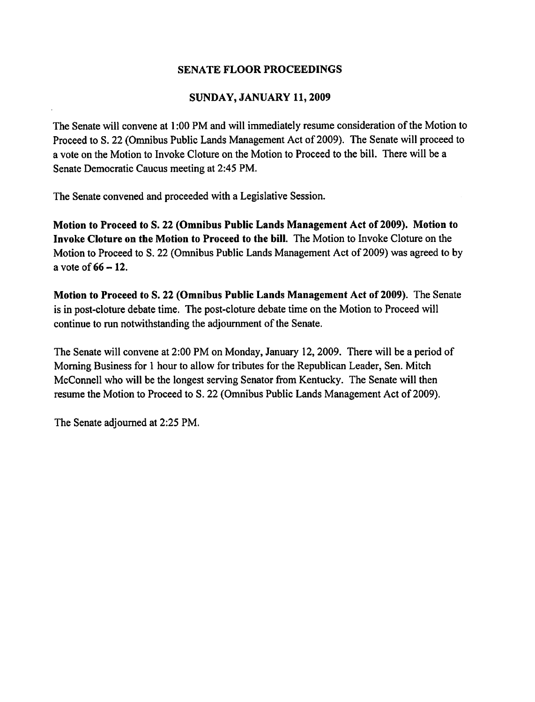## SUNDAY, JANUARY 11, 2009

The Senate will convene at 1:00 PM and will immediately resume consideration of the Motion to Proceed to S. 22 (Omnibus Public Lands Management Act of 2009). The Senate will proceed to a vote on the Motion to Invoke Cloture on the Motion to Proceed to the bill. There will be a Senate Democratic Caucus meeting at 2:45 PM.

The Senate convened and proceeded with a Legislative Session.

Motion to Proceed to S. 22 (Omnibus Public Lands Management Act of 2009). Motion to Invoke Cloture on the Motion to Proceed to the bill. The Motion to Invoke Cloture on the Motion to Proceed to S, 22 (Omnibus Public Lands Management Act of 2009) was agreed to by a vote of  $66 - 12$ .

Motion to Proceed to S. 22 (Omnibus Public Lands Management Act of 2009). The Senate is in post-cloture debate time. The post-cloture debate time on the Motion to Proceed will continue to run notwithstanding the adjournment of the Senate.

The Senate will convene at 2:00 PM on Monday, January 12, 2009. There will be a period of Morning Business for 1 hour to allow for tributes for the Republican Leader, Sen. Mitch McConnell who will be the longest serving Senator from Kentucky. The Senate will then resume the Motion to Proceed to S. 22 (Omnibus Public Lands Management Act of 2009).

The Senate adjourned at 2:25 PM.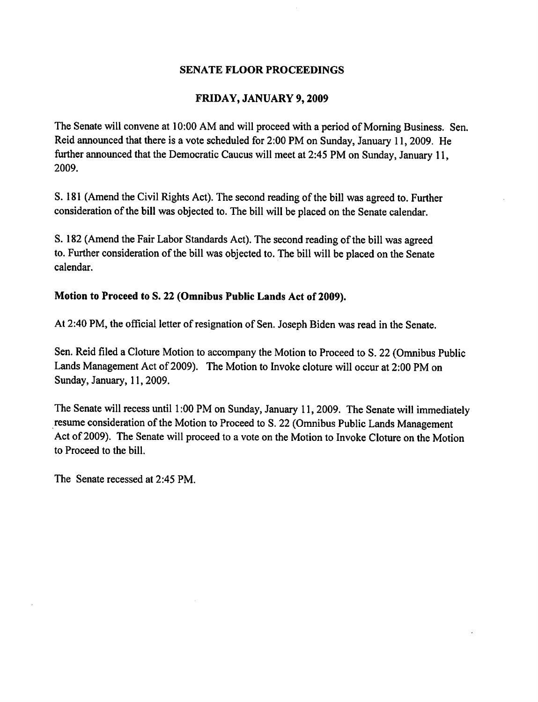## FRIDAY, JANUARY 9, 2009

The Senate will convene at 10:00 AM and will proceed with a period of Morning Business. Sen. Reid announced that there is a vote scheduled for 2:00 PM on Sunday, January 11, 2009. He further announced that the Democratic Caucus will meet at 2:45 PM on Sunday, January 11, 2009.

S. 181 (Amend the Civil Rights Act). The second reading of the bill was agreed to. Further consideration of the bill was objected to. The bill will be placed on the Senate calendar.

S. 182 (Amend the Fair Labor Standards Act). The second reading of the bill was agreed to. Further consideration of the bill was objected to. The bill will be placed on the Senate calendar.

## Motion to Proceed to S. 22 (Omnibus Public Lands Act of 2009).

At 2:40 PM, the official letter of resignation of Sen. Joseph Biden was read in the Senate.

Sen. Reid filed a Cloture Motion to accompany the Motion to Proceed to S. 22 (Omnibus Public Lands Management Act of 2009). The Motion to Invoke cloture will occur at 2:00 PM on Sunday, January, 11, 2009.

The Senate will recess until 1:00 PM on Sunday, January 11, 2009. The Senate will immediately resume consideration of the Motion to Proceed to S. 22 (Omnibus Public Lands Management Act of 2009). The Senate will proceed to a vote on the Motion to Invoke Cloture on the Motion to Proceed to the bill.

The Senate recessed at 2:45 PM.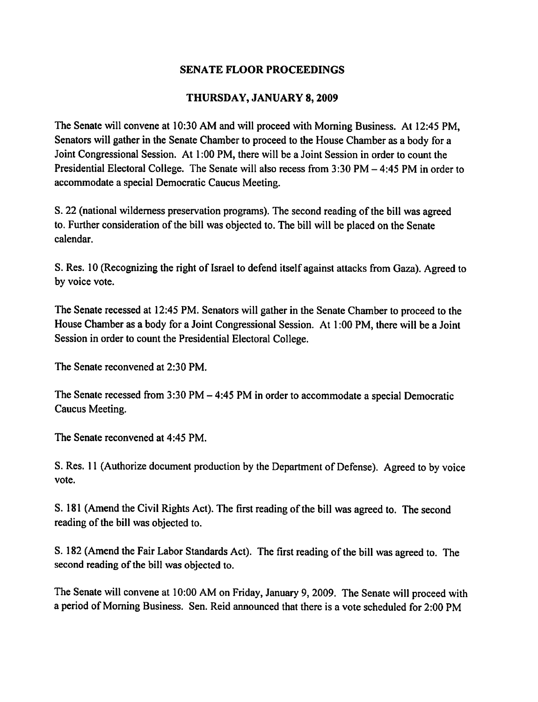## THURSDAY, JANUARY 8, 2009

The Senate will convene at 10:30 AM and will proceed with Morning Business. At 12:45 PM, Senators will gather in the Senate Chamber to proceed to the House Chamber as a body for a Joint Congressional Session. At 1:00 PM, there will be a Joint Session in order to count the Presidential Electoral College. The Senate will also recess from 3:30 PM – 4:45 PM in order to accommodate a special Democratic Caucus Meeting.

S. 22 (national wilderness preservation programs). The second reading of the bill was agreed to. Further consideration of the bill was objected to. The bill will be placed on the Senate calendar.

S. Res. 10 (Recognizing the right of Israel to defend itself against attacks from Gaza). Agreed to by voice vote.

The Senate recessed at 12:45 PM. Senators will gather in the Senate Chamber to proceed to the House Chamber as a body for a Joint Congressional Session. At 1:00 PM, there will be a Joint Session in order to count the Presidential Electoral College.

The Senate reconvened at 2:30 PM.

The Senate recessed from  $3:30\text{ PM} - 4:45\text{ PM}$  in order to accommodate a special Democratic Caucus Meeting.

The Senate reconvened at 4:45 PM.

S. Res. 11 (Authorize document production by the Department of Defense). Agreed to by voice vote.

S. 181 (Amend the Civil Rights Act). The first reading of the bill was agreed to. The second reading of the bill was objected to.

S. 182 (Amend the Fair Labor Standards Act). The first reading of the bill was agreed to. The second reading of the bill was objected to.

The Senate will convene at 10:00 AM on Friday, January 9, 2009. The Senate will proceed with a period of Morning Business. Sen. Reid announced that there is a vote scheduled for 2:00 PM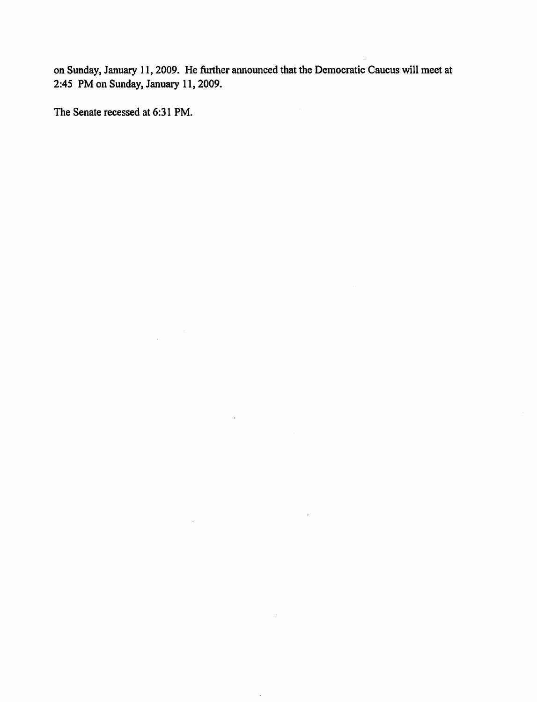on Sunday, January 11, 2009. He further announced that the Democratic Caucus will meet at 2:45 PM on Sunday, January 11, 2009.

 $\mathcal{L}_{\mathcal{L}}$ 

 $\sim$ 

 $\mathcal{L}$ 

 $\cdot$ 

The Senate recessed at 6:31 PM.

 $\label{eq:2.1} \frac{1}{\sqrt{2\pi}}\int_{0}^{\infty}\frac{1}{\sqrt{2\pi}}\left(\frac{1}{\sqrt{2\pi}}\right)^{2}d\mu.$ 

 $\mathcal{L}^{\mathcal{L}}$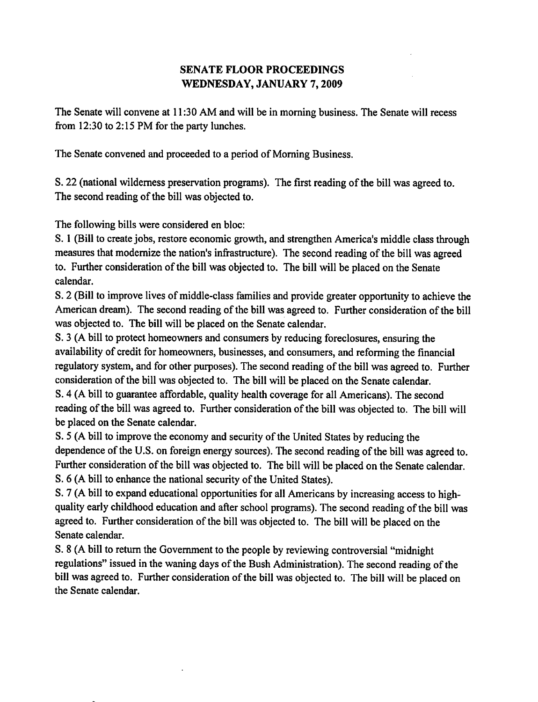# **SENATE FLOOR PROCEEDINGS** WEDNESDAY, JANUARY 7, 2009

The Senate will convene at 11:30 AM and will be in morning business. The Senate will recess from 12:30 to 2:15 PM for the party lunches.

The Senate convened and proceeded to a period of Morning Business.

S. 22 (national wilderness preservation programs). The first reading of the bill was agreed to. The second reading of the bill was objected to.

The following bills were considered en bloc:

S. 1 (Bill to create jobs, restore economic growth, and strengthen America's middle class through measures that modernize the nation's infrastructure). The second reading of the bill was agreed to. Further consideration of the bill was objected to. The bill will be placed on the Senate calendar.

S. 2 (Bill to improve lives of middle-class families and provide greater opportunity to achieve the American dream). The second reading of the bill was agreed to. Further consideration of the bill was objected to. The bill will be placed on the Senate calendar.

S. 3 (A bill to protect homeowners and consumers by reducing foreclosures, ensuring the availability of credit for homeowners, businesses, and consumers, and reforming the financial regulatory system, and for other purposes). The second reading of the bill was agreed to. Further consideration of the bill was objected to. The bill will be placed on the Senate calendar.

S. 4 (A bill to guarantee affordable, quality health coverage for all Americans). The second reading of the bill was agreed to. Further consideration of the bill was objected to. The bill will be placed on the Senate calendar.

S. 5 (A bill to improve the economy and security of the United States by reducing the dependence of the U.S. on foreign energy sources). The second reading of the bill was agreed to. Further consideration of the bill was objected to. The bill will be placed on the Senate calendar. S. 6 (A bill to enhance the national security of the United States).

S. 7 (A bill to expand educational opportunities for all Americans by increasing access to highquality early childhood education and after school programs). The second reading of the bill was agreed to. Further consideration of the bill was objected to. The bill will be placed on the Senate calendar.

S. 8 (A bill to return the Government to the people by reviewing controversial "midnight" regulations" issued in the waning days of the Bush Administration). The second reading of the bill was agreed to. Further consideration of the bill was objected to. The bill will be placed on the Senate calendar.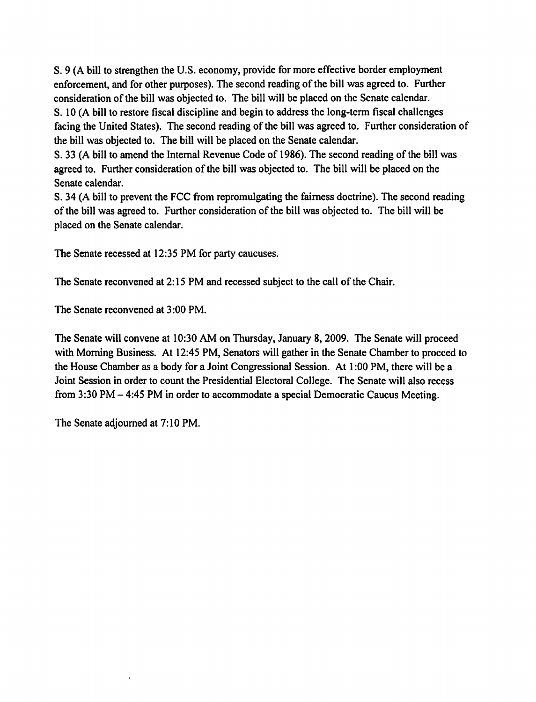S. 9 (A bill to strengthen the U.S. economy, provide for more effective border employment enforcement, and for other purposes). The second reading of the bill was agreed to. Further consideration of the bill was objected to. The bill will be placed on the Senate calendar. S. 10 (A bill to restore fiscal discipline and begin to address the long-term fiscal challenges facing the United States). The second reading of the bill was agreed to. Further consideration of the bill was objected to. The bill will be placed on the Senate calendar.

S. 33 (A bill to amend the Internal Revenue Code of 1986). The second reading of the bill was agreed to. Further consideration of the bill was objected to. The bill will be placed on the Senate calendar.

S. 34 (A bill to prevent the FCC from repromulgating the fairness doctrine). The second reading of the bill was agreed to. Further consideration of the bill was objected to. The bill will be placed on the Senate calendar.

The Senate recessed at 12:35 PM for party caucuses.

The Senate reconvened at 2:15 PM and recessed subject to the call of the Chair.

The Senate reconvened at 3:00 PM.

The Senate will convene at 10:30 AM on Thursday, January 8, 2009. The Senate will proceed with Morning Business. At 12:45 PM, Senators will gather in the Senate Chamber to procced to the House Chamber as a body for a Joint Congressional Session. At 1:00 PM, there will be a Joint Session in order to count the Presidential Electoral College. The Senate will also recess from  $3:30$  PM  $-$  4:45 PM in order to accommodate a special Democratic Caucus Meeting.

The Senate adjourned at 7:10 PM.